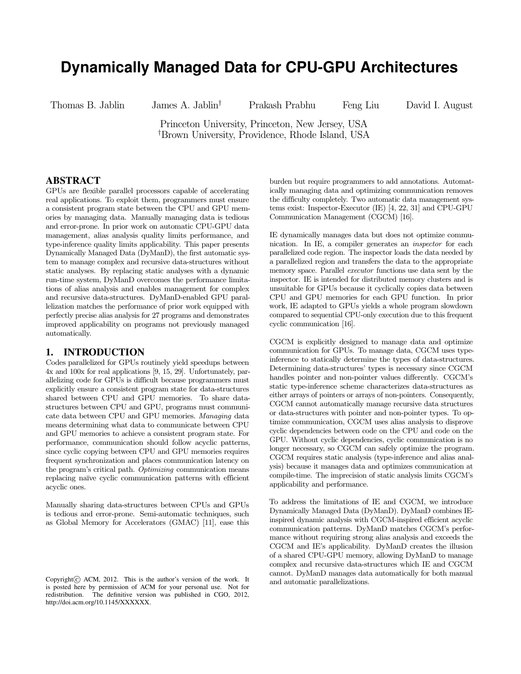# **Dynamically Managed Data for CPU-GPU Architectures**

Thomas B. Jablin James A. Jablin† Prakash Prabhu Feng Liu David I. August

Princeton University, Princeton, New Jersey, USA †Brown University, Providence, Rhode Island, USA

#### ABSTRACT

GPUs are flexible parallel processors capable of accelerating real applications. To exploit them, programmers must ensure a consistent program state between the CPU and GPU memories by managing data. Manually managing data is tedious and error-prone. In prior work on automatic CPU-GPU data management, alias analysis quality limits performance, and type-inference quality limits applicability. This paper presents Dynamically Managed Data (DyManD), the first automatic system to manage complex and recursive data-structures without static analyses. By replacing static analyses with a dynamic run-time system, DyManD overcomes the performance limitations of alias analysis and enables management for complex and recursive data-structures. DyManD-enabled GPU parallelization matches the performance of prior work equipped with perfectly precise alias analysis for 27 programs and demonstrates improved applicability on programs not previously managed automatically.

#### 1. INTRODUCTION

Codes parallelized for GPUs routinely yield speedups between 4x and 100x for real applications [9, 15, 29]. Unfortunately, parallelizing code for GPUs is difficult because programmers must explicitly ensure a consistent program state for data-structures shared between CPU and GPU memories. To share datastructures between CPU and GPU, programs must communicate data between CPU and GPU memories. Managing data means determining what data to communicate between CPU and GPU memories to achieve a consistent program state. For performance, communication should follow acyclic patterns, since cyclic copying between CPU and GPU memories requires frequent synchronization and places communication latency on the program's critical path. Optimizing communication means replacing naïve cyclic communication patterns with efficient acyclic ones.

Manually sharing data-structures between CPUs and GPUs is tedious and error-prone. Semi-automatic techniques, such as Global Memory for Accelerators (GMAC) [11], ease this

burden but require programmers to add annotations. Automatically managing data and optimizing communication removes the difficulty completely. Two automatic data management systems exist: Inspector-Executor (IE) [4, 22, 31] and CPU-GPU Communication Management (CGCM) [16].

IE dynamically manages data but does not optimize communication. In IE, a compiler generates an inspector for each parallelized code region. The inspector loads the data needed by a parallelized region and transfers the data to the appropriate memory space. Parallel executor functions use data sent by the inspector. IE is intended for distributed memory clusters and is unsuitable for GPUs because it cyclically copies data between CPU and GPU memories for each GPU function. In prior work, IE adapted to GPUs yields a whole program slowdown compared to sequential CPU-only execution due to this frequent cyclic communication [16].

CGCM is explicitly designed to manage data and optimize communication for GPUs. To manage data, CGCM uses typeinference to statically determine the types of data-structures. Determining data-structures' types is necessary since CGCM handles pointer and non-pointer values differently. CGCM's static type-inference scheme characterizes data-structures as either arrays of pointers or arrays of non-pointers. Consequently, CGCM cannot automatically manage recursive data structures or data-structures with pointer and non-pointer types. To optimize communication, CGCM uses alias analysis to disprove cyclic dependencies between code on the CPU and code on the GPU. Without cyclic dependencies, cyclic communication is no longer necessary, so CGCM can safely optimize the program. CGCM requires static analysis (type-inference and alias analysis) because it manages data and optimizes communication at compile-time. The imprecision of static analysis limits CGCM's applicability and performance.

To address the limitations of IE and CGCM, we introduce Dynamically Managed Data (DyManD). DyManD combines IEinspired dynamic analysis with CGCM-inspired efficient acyclic communication patterns. DyManD matches CGCM's performance without requiring strong alias analysis and exceeds the CGCM and IE's applicability. DyManD creates the illusion of a shared CPU-GPU memory, allowing DyManD to manage complex and recursive data-structures which IE and CGCM cannot. DyManD manages data automatically for both manual and automatic parallelizations.

Copyright(C) ACM, 2012. This is the author's version of the work. It is posted here by permission of ACM for your personal use. Not for redistribution. The definitive version was published in CGO, 2012, http://doi.acm.org/10.1145/XXXXXX.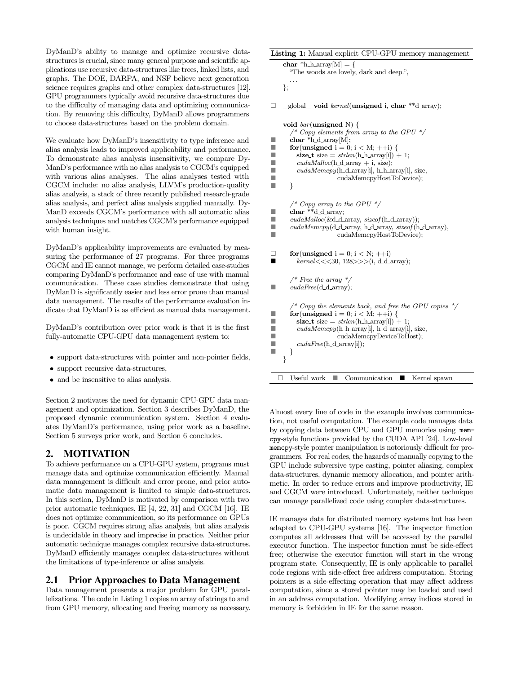DyManD's ability to manage and optimize recursive datastructures is crucial, since many general purpose and scientific applications use recursive data-structures like trees, linked lists, and graphs. The DOE, DARPA, and NSF believe next generation science requires graphs and other complex data-structures [12]. GPU programmers typically avoid recursive data-structures due to the difficulty of managing data and optimizing communication. By removing this difficulty, DyManD allows programmers to choose data-structures based on the problem domain.

We evaluate how DyManD's insensitivity to type inference and alias analysis leads to improved applicability and performance. To demonstrate alias analysis insensitivity, we compare Dy-ManD's performance with no alias analysis to CGCM's equipped with various alias analyses. The alias analyses tested with CGCM include: no alias analysis, LLVM's production-quality alias analysis, a stack of three recently published research-grade alias analysis, and perfect alias analysis supplied manually. Dy-ManD exceeds CGCM's performance with all automatic alias analysis techniques and matches CGCM's performance equipped with human insight.

DyManD's applicability improvements are evaluated by measuring the performance of 27 programs. For three programs CGCM and IE cannot manage, we perform detailed case-studies comparing DyManD's performance and ease of use with manual communication. These case studies demonstrate that using DyManD is significantly easier and less error prone than manual data management. The results of the performance evaluation indicate that DyManD is as efficient as manual data management.

DyManD's contribution over prior work is that it is the first fully-automatic CPU-GPU data management system to:

- support data-structures with pointer and non-pointer fields,
- support recursive data-structures,
- and be insensitive to alias analysis.

Section 2 motivates the need for dynamic CPU-GPU data management and optimization. Section 3 describes DyManD, the proposed dynamic communication system. Section 4 evaluates DyManD's performance, using prior work as a baseline. Section 5 surveys prior work, and Section 6 concludes.

#### 2. MOTIVATION

To achieve performance on a CPU-GPU system, programs must manage data and optimize communication efficiently. Manual data management is difficult and error prone, and prior automatic data management is limited to simple data-structures. In this section, DyManD is motivated by comparison with two prior automatic techniques, IE [4, 22, 31] and CGCM [16]. IE does not optimize communication, so its performance on GPUs is poor. CGCM requires strong alias analysis, but alias analysis is undecidable in theory and imprecise in practice. Neither prior automatic technique manages complex recursive data-structures. DyManD efficiently manages complex data-structures without the limitations of type-inference or alias analysis.

#### 2.1 Prior Approaches to Data Management

Data management presents a major problem for GPU parallelizations. The code in Listing 1 copies an array of strings to and from GPU memory, allocating and freeing memory as necessary.

#### Listing 1: Manual explicit CPU-GPU memory management

```
char *h_harary[M] = \{"The woods are lovely, dark and deep.",
  . . .
};
```
 $\Box$  global void kernel(unsigned i, char \*\*d\_array);

```
void bar(unsigned N) {
         \frac{1}{2} Copy elements from array to the GPU \frac{*}{2}\blacksquare char *h_d_array[M];
for (unsigned i = 0; i < M; ++i) {
size t size = strlen(h h array[i]) + 1;<br>cudaMalloc(h d array + i, size):
\Box cudaMalloc(h_d_array + i, size);<br>cudaMemcpy(h_d_array[i], h_h_ar
\blacksquare cudaMemcpy(h_d_array[i], h_h_array[i], size,<br>cudaMemcpyHostToDevice);
                               cudaMemcpyHostToDevice);
\begin{array}{ccc} \mathbb{R} & \mathbb{R} \end{array}/* Copy array to the GPU */char **d d array;
         cudaMalloc(& d_array, \: sizeof(h_d_array));\Box cudaMemcpy(d_d_array, h_d_array, sizeof(h_d_array), cudaMemcpyHostToDevice):
                                cudaMemcpyHostToDevice);
\Box for(unsigned i = 0; i < N; ++i)
\blacksquare kernel <<<30, 128>>>(i, d_d_array);
         /* Free the array */\Box cudaFree(d_d_array);
          \frac{1}{2} Copy the elements back, and free the GPU copies \frac{1}{2}for (unsigned i = 0; i < M; ++i) {<br>
size t size = strlen(h h arrayli)}
size \mathbf{size} = \text{strlen}(\mathbf{h} \cdot \mathbf{h} \cdot \text{array}[i]) + 1;<br>cudaMemcou(\mathbf{h} \cdot \mathbf{h} \cdot \text{array}[i], \mathbf{h} \cdot \mathbf{d} \cdot \text{array}[i]\Box cudaMemcpy(h_h_array[i], h_d_array[i], size,<br>cudaMemcpyDeviceToHost);
■ cudaMemcpyDeviceToHost);<br>■ cudaFree(h_d_array[i]);
            cudaFree(h_darray[i]); }
     }
   \Box Useful work \Box Communication \Box Kernel spawn
```
Almost every line of code in the example involves communication, not useful computation. The example code manages data by copying data between CPU and GPU memories using memcpy-style functions provided by the CUDA API [24]. Low-level memcpy-style pointer manipulation is notoriously difficult for programmers. For real codes, the hazards of manually copying to the GPU include subversive type casting, pointer aliasing, complex data-structures, dynamic memory allocation, and pointer arithmetic. In order to reduce errors and improve productivity, IE and CGCM were introduced. Unfortunately, neither technique can manage parallelized code using complex data-structures.

IE manages data for distributed memory systems but has been adapted to CPU-GPU systems [16]. The inspector function computes all addresses that will be accessed by the parallel executor function. The inspector function must be side-effect free; otherwise the executor function will start in the wrong program state. Consequently, IE is only applicable to parallel code regions with side-effect free address computation. Storing pointers is a side-effecting operation that may affect address computation, since a stored pointer may be loaded and used in an address computation. Modifying array indices stored in memory is forbidden in IE for the same reason.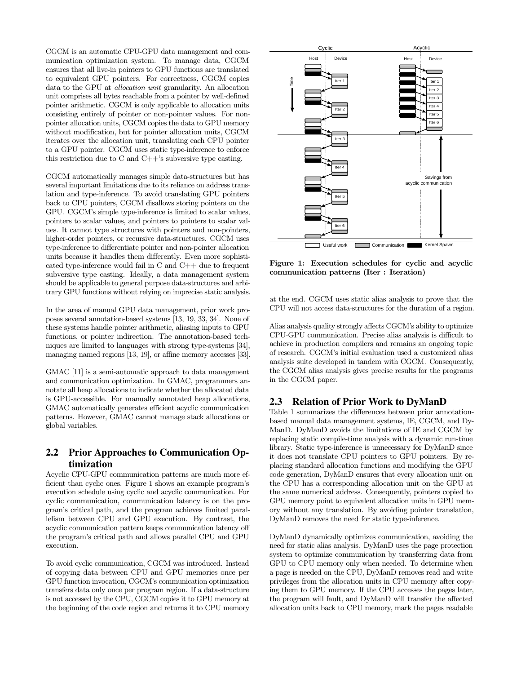CGCM is an automatic CPU-GPU data management and communication optimization system. To manage data, CGCM ensures that all live-in pointers to GPU functions are translated to equivalent GPU pointers. For correctness, CGCM copies data to the GPU at allocation unit granularity. An allocation unit comprises all bytes reachable from a pointer by well-defined pointer arithmetic. CGCM is only applicable to allocation units consisting entirely of pointer or non-pointer values. For nonpointer allocation units, CGCM copies the data to GPU memory without modification, but for pointer allocation units, CGCM iterates over the allocation unit, translating each CPU pointer to a GPU pointer. CGCM uses static type-inference to enforce this restriction due to  $C$  and  $C++$ 's subversive type casting.

CGCM automatically manages simple data-structures but has several important limitations due to its reliance on address translation and type-inference. To avoid translating GPU pointers back to CPU pointers, CGCM disallows storing pointers on the GPU. CGCM's simple type-inference is limited to scalar values, pointers to scalar values, and pointers to pointers to scalar values. It cannot type structures with pointers and non-pointers, higher-order pointers, or recursive data-structures. CGCM uses type-inference to differentiate pointer and non-pointer allocation units because it handles them differently. Even more sophisticated type-inference would fail in C and C++ due to frequent subversive type casting. Ideally, a data management system should be applicable to general purpose data-structures and arbitrary GPU functions without relying on imprecise static analysis.

In the area of manual GPU data management, prior work proposes several annotation-based systems [13, 19, 33, 34]. None of these systems handle pointer arithmetic, aliasing inputs to GPU functions, or pointer indirection. The annotation-based techniques are limited to languages with strong type-systems [34], managing named regions [13, 19], or affine memory accesses [33].

GMAC [11] is a semi-automatic approach to data management and communication optimization. In GMAC, programmers annotate all heap allocations to indicate whether the allocated data is GPU-accessible. For manually annotated heap allocations, GMAC automatically generates efficient acyclic communication patterns. However, GMAC cannot manage stack allocations or global variables.

## 2.2 Prior Approaches to Communication Optimization

Acyclic CPU-GPU communication patterns are much more efficient than cyclic ones. Figure 1 shows an example program's execution schedule using cyclic and acyclic communication. For cyclic communication, communication latency is on the program's critical path, and the program achieves limited parallelism between CPU and GPU execution. By contrast, the acyclic communication pattern keeps communication latency off the program's critical path and allows parallel CPU and GPU execution.

To avoid cyclic communication, CGCM was introduced. Instead of copying data between CPU and GPU memories once per GPU function invocation, CGCM's communication optimization transfers data only once per program region. If a data-structure is not accessed by the CPU, CGCM copies it to GPU memory at the beginning of the code region and returns it to CPU memory



Figure 1: Execution schedules for cyclic and acyclic communication patterns (Iter : Iteration)

at the end. CGCM uses static alias analysis to prove that the CPU will not access data-structures for the duration of a region.

Alias analysis quality strongly affects CGCM's ability to optimize CPU-GPU communication. Precise alias analysis is difficult to achieve in production compilers and remains an ongoing topic of research. CGCM's initial evaluation used a customized alias analysis suite developed in tandem with CGCM. Consequently, the CGCM alias analysis gives precise results for the programs in the CGCM paper.

#### 2.3 Relation of Prior Work to DyManD

Table 1 summarizes the differences between prior annotationbased manual data management systems, IE, CGCM, and Dy-ManD. DyManD avoids the limitations of IE and CGCM by replacing static compile-time analysis with a dynamic run-time library. Static type-inference is unnecessary for DyManD since it does not translate CPU pointers to GPU pointers. By replacing standard allocation functions and modifying the GPU code generation, DyManD ensures that every allocation unit on the CPU has a corresponding allocation unit on the GPU at the same numerical address. Consequently, pointers copied to GPU memory point to equivalent allocation units in GPU memory without any translation. By avoiding pointer translation, DyManD removes the need for static type-inference.

DyManD dynamically optimizes communication, avoiding the need for static alias analysis. DyManD uses the page protection system to optimize communication by transferring data from GPU to CPU memory only when needed. To determine when a page is needed on the CPU, DyManD removes read and write privileges from the allocation units in CPU memory after copying them to GPU memory. If the CPU accesses the pages later, the program will fault, and DyManD will transfer the affected allocation units back to CPU memory, mark the pages readable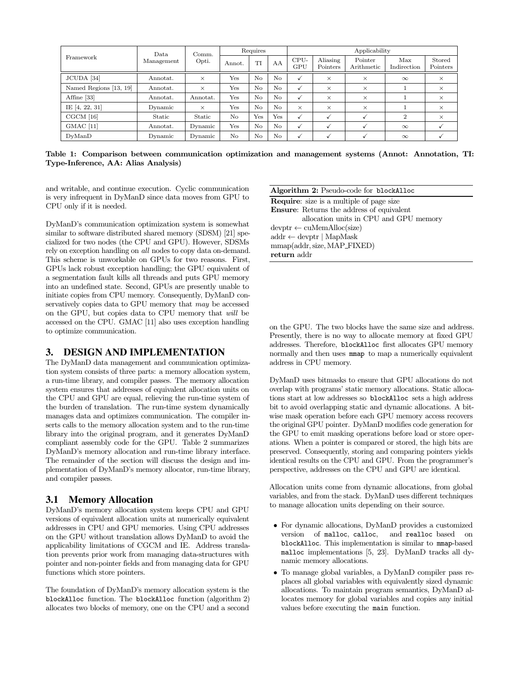| Framework              | Data<br>Management | Comm.<br>Opti. | Requires |                |                | Applicability |                      |                       |                    |                    |
|------------------------|--------------------|----------------|----------|----------------|----------------|---------------|----------------------|-----------------------|--------------------|--------------------|
|                        |                    |                | Annot.   | ТT             | AA             | $CPU-$<br>GPU | Aliasing<br>Pointers | Pointer<br>Arithmetic | Max<br>Indirection | Stored<br>Pointers |
| JCUDA [34]             | Annotat.           | $\times$       | Yes      | No             | N <sub>o</sub> |               | $\times$             | $\times$              | $\infty$           | $\times$           |
| Named Regions [13, 19] | Annotat.           | $\times$       | Yes      | No             | N <sub>o</sub> |               | $\times$             | $\times$              |                    | $\times$           |
| Affine [33]            | Annotat.           | Annotat.       | Yes      | No             | N <sub>o</sub> |               | $\times$             | $\times$              |                    | $\times$           |
| IE [4, 22, 31]         | Dynamic            | $\times$       | Yes      | No             | N <sub>o</sub> | $\times$      | $\times$             | $\times$              |                    | $\times$           |
| $CGCM$ [16]            | Static             | Static         | No       | Yes            | Yes            |               |                      |                       | $\overline{2}$     | $\times$           |
| <b>GMAC</b> [11]       | Annotat.           | Dynamic        | Yes      | N <sub>o</sub> | N <sub>o</sub> |               |                      |                       | $\infty$           |                    |
| DvManD                 | Dynamic            | Dynamic        | No       | No             | N <sub>o</sub> |               |                      |                       | $\infty$           |                    |

Table 1: Comparison between communication optimization and management systems (Annot: Annotation, TI: Type-Inference, AA: Alias Analysis)

and writable, and continue execution. Cyclic communication is very infrequent in DyManD since data moves from GPU to CPU only if it is needed.

DyManD's communication optimization system is somewhat similar to software distributed shared memory (SDSM) [21] specialized for two nodes (the CPU and GPU). However, SDSMs rely on exception handling on all nodes to copy data on-demand. This scheme is unworkable on GPUs for two reasons. First, GPUs lack robust exception handling; the GPU equivalent of a segmentation fault kills all threads and puts GPU memory into an undefined state. Second, GPUs are presently unable to initiate copies from CPU memory. Consequently, DyManD conservatively copies data to GPU memory that may be accessed on the GPU, but copies data to CPU memory that will be accessed on the CPU. GMAC [11] also uses exception handling to optimize communication.

#### 3. DESIGN AND IMPLEMENTATION

The DyManD data management and communication optimization system consists of three parts: a memory allocation system, a run-time library, and compiler passes. The memory allocation system ensures that addresses of equivalent allocation units on the CPU and GPU are equal, relieving the run-time system of the burden of translation. The run-time system dynamically manages data and optimizes communication. The compiler inserts calls to the memory allocation system and to the run-time library into the original program, and it generates DyManD compliant assembly code for the GPU. Table 2 summarizes DyManD's memory allocation and run-time library interface. The remainder of the section will discuss the design and implementation of DyManD's memory allocator, run-time library, and compiler passes.

#### 3.1 Memory Allocation

DyManD's memory allocation system keeps CPU and GPU versions of equivalent allocation units at numerically equivalent addresses in CPU and GPU memories. Using CPU addresses on the GPU without translation allows DyManD to avoid the applicability limitations of CGCM and IE. Address translation prevents prior work from managing data-structures with pointer and non-pointer fields and from managing data for GPU functions which store pointers.

The foundation of DyManD's memory allocation system is the blockAlloc function. The blockAlloc function (algorithm 2) allocates two blocks of memory, one on the CPU and a second

| Algorithm 2: Pseudo-code for blockAlloc               |
|-------------------------------------------------------|
| <b>Require:</b> size is a multiple of page size       |
| <b>Ensure:</b> Returns the address of equivalent      |
| allocation units in CPU and GPU memory                |
| $devptr \leftarrow cuMemAlice(size)$                  |
| $\text{addr} \gets \text{devptr} \mid \text{MapMask}$ |
| $mmap(addr, size, MAP\_FIXED)$                        |
| return addr                                           |
|                                                       |

on the GPU. The two blocks have the same size and address. Presently, there is no way to allocate memory at fixed GPU addresses. Therefore, blockAlloc first allocates GPU memory normally and then uses mmap to map a numerically equivalent address in CPU memory.

DyManD uses bitmasks to ensure that GPU allocations do not overlap with programs' static memory allocations. Static allocations start at low addresses so blockAlloc sets a high address bit to avoid overlapping static and dynamic allocations. A bitwise mask operation before each GPU memory access recovers the original GPU pointer. DyManD modifies code generation for the GPU to emit masking operations before load or store operations. When a pointer is compared or stored, the high bits are preserved. Consequently, storing and comparing pointers yields identical results on the CPU and GPU. From the programmer's perspective, addresses on the CPU and GPU are identical.

Allocation units come from dynamic allocations, from global variables, and from the stack. DyManD uses different techniques to manage allocation units depending on their source.

- For dynamic allocations, DyManD provides a customized version of malloc, calloc, and realloc based on blockAlloc. This implementation is similar to mmap-based malloc implementations [5, 23]. DyManD tracks all dynamic memory allocations.
- To manage global variables, a DyManD compiler pass replaces all global variables with equivalently sized dynamic allocations. To maintain program semantics, DyManD allocates memory for global variables and copies any initial values before executing the main function.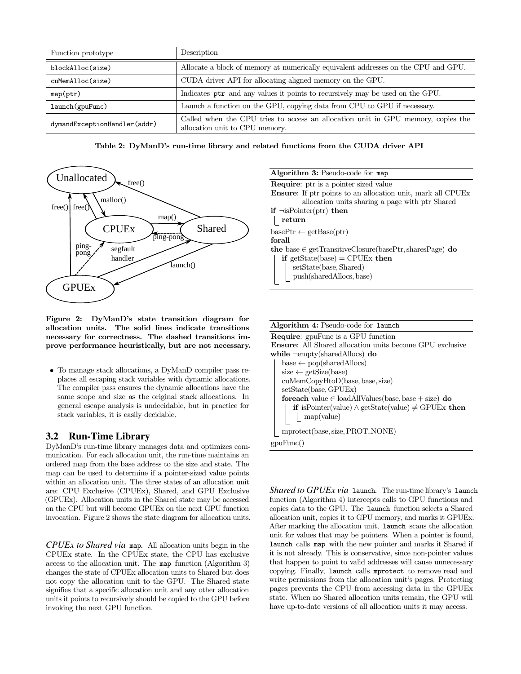| Function prototype           | Description                                                                                                        |  |  |  |
|------------------------------|--------------------------------------------------------------------------------------------------------------------|--|--|--|
| blockAlloc(size)             | Allocate a block of memory at numerically equivalent addresses on the CPU and GPU.                                 |  |  |  |
| cuMemAlloc(size)             | CUDA driver API for allocating aligned memory on the GPU.                                                          |  |  |  |
| map(ptr)                     | Indicates ptr and any values it points to recursively may be used on the GPU.                                      |  |  |  |
| launch (gpuFunc)             | Launch a function on the GPU, copying data from CPU to GPU if necessary.                                           |  |  |  |
| dymandExceptionHandler(addr) | Called when the CPU tries to access an allocation unit in GPU memory, copies the<br>allocation unit to CPU memory. |  |  |  |

Table 2: DyManD's run-time library and related functions from the CUDA driver API



Figure 2: DyManD's state transition diagram for allocation units. The solid lines indicate transitions necessary for correctness. The dashed transitions improve performance heuristically, but are not necessary.

• To manage stack allocations, a DyManD compiler pass replaces all escaping stack variables with dynamic allocations. The compiler pass ensures the dynamic allocations have the same scope and size as the original stack allocations. In general escape analysis is undecidable, but in practice for stack variables, it is easily decidable.

#### 3.2 Run-Time Library

DyManD's run-time library manages data and optimizes communication. For each allocation unit, the run-time maintains an ordered map from the base address to the size and state. The map can be used to determine if a pointer-sized value points within an allocation unit. The three states of an allocation unit are: CPU Exclusive (CPUEx), Shared, and GPU Exclusive (GPUEx). Allocation units in the Shared state may be accessed on the CPU but will become GPUEx on the next GPU function invocation. Figure 2 shows the state diagram for allocation units.

*CPUEx to Shared via* map*.* All allocation units begin in the CPUEx state. In the CPUEx state, the CPU has exclusive access to the allocation unit. The map function (Algorithm 3) changes the state of CPUEx allocation units to Shared but does not copy the allocation unit to the GPU. The Shared state signifies that a specific allocation unit and any other allocation units it points to recursively should be copied to the GPU before invoking the next GPU function.

| <b>Algorithm 3:</b> Pseudo-code for map                                                                                               |  |
|---------------------------------------------------------------------------------------------------------------------------------------|--|
| <b>Require:</b> ptr is a pointer sized value                                                                                          |  |
| <b>Ensure:</b> If ptr points to an allocation unit, mark all CPUEx                                                                    |  |
| allocation units sharing a page with ptr Shared                                                                                       |  |
| $if \neg isPointer(pt) then$                                                                                                          |  |
| return                                                                                                                                |  |
| $basePtr \leftarrow getBase(ptr)$                                                                                                     |  |
| forall                                                                                                                                |  |
| <b>the</b> base $\in$ getTransitiveClosure(basePtr, sharesPage) <b>do</b>                                                             |  |
| if getState(base) = $CPUEx$ then                                                                                                      |  |
|                                                                                                                                       |  |
| $\begin{array}{l} \mathrm{setState}(\mathrm{base},\mathrm{Shared}) \\ \mathrm{push}(\mathrm{sharedAllocs},\mathrm{base}) \end{array}$ |  |
|                                                                                                                                       |  |

| <b>Algorithm 4:</b> Pseudo-code for launch                               |  |
|--------------------------------------------------------------------------|--|
| <b>Require:</b> gpuFunc is a GPU function                                |  |
| <b>Ensure:</b> All Shared allocation units become GPU exclusive          |  |
| while $\neg \text{empty}$ (shared Allocs) do                             |  |
| $base \leftarrow pop(sharedAllocs)$                                      |  |
| $size \leftarrow getSize(base)$                                          |  |
| cuMemCopyHtoD(base, base, size)                                          |  |
| setState(base, GPUEx)                                                    |  |
| <b>foreach</b> value $\in$ load All Values (base, base + size) <b>do</b> |  |
| <b>if</b> is Pointer(value) $\land$ getState(value) $\neq$ GPUEx then    |  |
| map(value)                                                               |  |
|                                                                          |  |
| mprotect(base, size, PROT_NONE)                                          |  |
| gpuFunc()                                                                |  |

*Shared to GPUEx via* launch*.* The run-time library's launch function (Algorithm 4) intercepts calls to GPU functions and copies data to the GPU. The launch function selects a Shared allocation unit, copies it to GPU memory, and marks it GPUEx. After marking the allocation unit, launch scans the allocation unit for values that may be pointers. When a pointer is found, launch calls map with the new pointer and marks it Shared if it is not already. This is conservative, since non-pointer values that happen to point to valid addresses will cause unnecessary copying. Finally, launch calls mprotect to remove read and write permissions from the allocation unit's pages. Protecting pages prevents the CPU from accessing data in the GPUEx state. When no Shared allocation units remain, the GPU will have up-to-date versions of all allocation units it may access.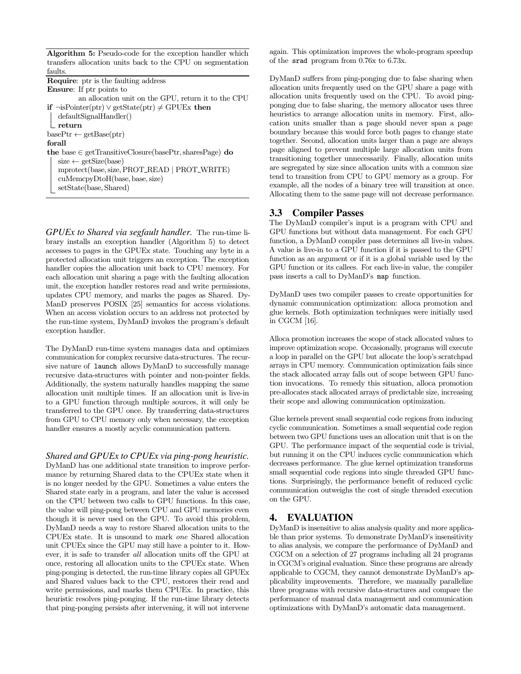| <u>121, and 121, and 122, and 123, and the computer number of the set of the set of the set of the set of the set</u> |
|-----------------------------------------------------------------------------------------------------------------------|
| transfers allocation units back to the CPU on segmentation                                                            |
| faults.                                                                                                               |
| <b>Require:</b> ptr is the faulting address                                                                           |
| <b>Ensure:</b> If ptr points to                                                                                       |
| an allocation unit on the GPU, return it to the CPU                                                                   |
| <b>if</b> $\neg$ isPointer(ptr) $\lor$ getState(ptr) $\neq$ GPUEx then                                                |
| defaultSignalHandler()                                                                                                |
| return                                                                                                                |
| $basePtr \leftarrow getBase(ptr)$                                                                                     |
| forall                                                                                                                |
| <b>the</b> base $\in$ getTransitiveClosure(basePtr, sharesPage) <b>do</b>                                             |
| $size \leftarrow getSize(base)$                                                                                       |
| mprotect(base, size, PROT_READ   PROT_WRITE)                                                                          |
| cuMemcpyDtoH(base, base, size)                                                                                        |
| setState(base, Shared)                                                                                                |
|                                                                                                                       |

Algorithm 5: Pseudo-code for the exception handler which

*GPUEx to Shared via segfault handler.* The run-time library installs an exception handler (Algorithm 5) to detect accesses to pages in the GPUEx state. Touching any byte in a protected allocation unit triggers an exception. The exception handler copies the allocation unit back to CPU memory. For each allocation unit sharing a page with the faulting allocation unit, the exception handler restores read and write permissions, updates CPU memory, and marks the pages as Shared. Dy-ManD preserves POSIX [25] semantics for access violations. When an access violation occurs to an address not protected by the run-time system, DyManD invokes the program's default exception handler.

The DyManD run-time system manages data and optimizes communication for complex recursive data-structures. The recursive nature of launch allows DyManD to successfully manage recursive data-structures with pointer and non-pointer fields. Additionally, the system naturally handles mapping the same allocation unit multiple times. If an allocation unit is live-in to a GPU function through multiple sources, it will only be transferred to the GPU once. By transferring data-structures from GPU to CPU memory only when necessary, the exception handler ensures a mostly acyclic communication pattern.

*Shared and GPUEx to CPUEx via ping-pong heuristic.* DyManD has one additional state transition to improve performance by returning Shared data to the CPUEx state when it is no longer needed by the GPU. Sometimes a value enters the Shared state early in a program, and later the value is accessed on the CPU between two calls to GPU functions. In this case, the value will ping-pong between CPU and GPU memories even though it is never used on the GPU. To avoid this problem, DyManD needs a way to restore Shared allocation units to the CPUEx state. It is unsound to mark one Shared allocation unit CPUEx since the GPU may still have a pointer to it. However, it is safe to transfer all allocation units off the GPU at once, restoring all allocation units to the CPUEx state. When ping-ponging is detected, the run-time library copies all GPUEx and Shared values back to the CPU, restores their read and write permissions, and marks them CPUEx. In practice, this heuristic resolves ping-ponging. If the run-time library detects that ping-ponging persists after intervening, it will not intervene

again. This optimization improves the whole-program speedup of the srad program from 0.76x to 6.73x.

DyManD suffers from ping-ponging due to false sharing when allocation units frequently used on the GPU share a page with allocation units frequently used on the CPU. To avoid pingponging due to false sharing, the memory allocator uses three heuristics to arrange allocation units in memory. First, allocation units smaller than a page should never span a page boundary because this would force both pages to change state together. Second, allocation units larger than a page are always page aligned to prevent multiple large allocation units from transitioning together unnecessarily. Finally, allocation units are segregated by size since allocation units with a common size tend to transition from CPU to GPU memory as a group. For example, all the nodes of a binary tree will transition at once. Allocating them to the same page will not decrease performance.

#### 3.3 Compiler Passes

The DyManD compiler's input is a program with CPU and GPU functions but without data management. For each GPU function, a DyManD compiler pass determines all live-in values. A value is live-in to a GPU function if it is passed to the GPU function as an argument or if it is a global variable used by the GPU function or its callees. For each live-in value, the compiler pass inserts a call to DyManD's map function.

DyManD uses two compiler passes to create opportunities for dynamic communication optimization: alloca promotion and glue kernels. Both optimization techniques were initially used in CGCM [16].

Alloca promotion increases the scope of stack allocated values to improve optimization scope. Occasionally, programs will execute a loop in parallel on the GPU but allocate the loop's scratchpad arrays in CPU memory. Communication optimization fails since the stack allocated array falls out of scope between GPU function invocations. To remedy this situation, alloca promotion pre-allocates stack allocated arrays of predictable size, increasing their scope and allowing communication optimization.

Glue kernels prevent small sequential code regions from inducing cyclic communication. Sometimes a small sequential code region between two GPU functions uses an allocation unit that is on the GPU. The performance impact of the sequential code is trivial, but running it on the CPU induces cyclic communication which decreases performance. The glue kernel optimization transforms small sequential code regions into single threaded GPU functions. Surprisingly, the performance benefit of reduced cyclic communication outweighs the cost of single threaded execution on the GPU.

#### 4. EVALUATION

DyManD is insensitive to alias analysis quality and more applicable than prior systems. To demonstrate DyManD's insensitivity to alias analysis, we compare the performance of DyManD and CGCM on a selection of 27 programs including all 24 programs in CGCM's original evaluation. Since these programs are already applicable to CGCM, they cannot demonstrate DyManD's applicability improvements. Therefore, we manually parallelize three programs with recursive data-structures and compare the performance of manual data management and communication optimizations with DyManD's automatic data management.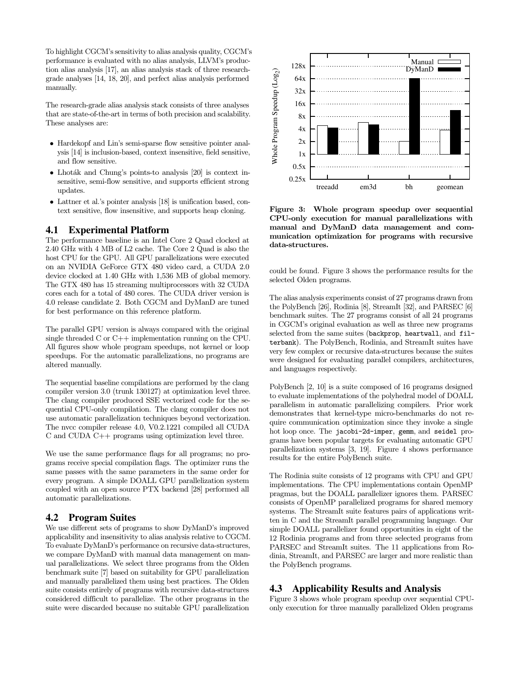To highlight CGCM's sensitivity to alias analysis quality, CGCM's performance is evaluated with no alias analysis, LLVM's production alias analysis [17], an alias analysis stack of three researchgrade analyses [14, 18, 20], and perfect alias analysis performed manually.

The research-grade alias analysis stack consists of three analyses that are state-of-the-art in terms of both precision and scalability. These analyses are:

- Hardekopf and Lin's semi-sparse flow sensitive pointer analysis [14] is inclusion-based, context insensitive, field sensitive, and flow sensitive.
- $\bullet$  Lhoták and Chung's points-to analysis [20] is context insensitive, semi-flow sensitive, and supports efficient strong updates.
- Lattner et al.'s pointer analysis [18] is unification based, context sensitive, flow insensitive, and supports heap cloning.

### 4.1 Experimental Platform

The performance baseline is an Intel Core 2 Quad clocked at 2.40 GHz with 4 MB of L2 cache. The Core 2 Quad is also the host CPU for the GPU. All GPU parallelizations were executed on an NVIDIA GeForce GTX 480 video card, a CUDA 2.0 device clocked at 1.40 GHz with 1,536 MB of global memory. The GTX 480 has 15 streaming multiprocessors with 32 CUDA cores each for a total of 480 cores. The CUDA driver version is 4.0 release candidate 2. Both CGCM and DyManD are tuned for best performance on this reference platform.

The parallel GPU version is always compared with the original single threaded C or C++ implementation running on the CPU. All figures show whole program speedups, not kernel or loop speedups. For the automatic parallelizations, no programs are altered manually.

The sequential baseline compilations are performed by the clang compiler version 3.0 (trunk 130127) at optimization level three. The clang compiler produced SSE vectorized code for the sequential CPU-only compilation. The clang compiler does not use automatic parallelization techniques beyond vectorization. The nvcc compiler release 4.0, V0.2.1221 compiled all CUDA C and CUDA C++ programs using optimization level three.

We use the same performance flags for all programs; no programs receive special compilation flags. The optimizer runs the same passes with the same parameters in the same order for every program. A simple DOALL GPU parallelization system coupled with an open source PTX backend [28] performed all automatic parallelizations.

#### 4.2 Program Suites

We use different sets of programs to show DyManD's improved applicability and insensitivity to alias analysis relative to CGCM. To evaluate DyManD's performance on recursive data-structures, we compare DyManD with manual data management on manual parallelizations. We select three programs from the Olden benchmark suite [7] based on suitability for GPU parallelization and manually parallelized them using best practices. The Olden suite consists entirely of programs with recursive data-structures considered difficult to parallelize. The other programs in the suite were discarded because no suitable GPU parallelization



Figure 3: Whole program speedup over sequential CPU-only execution for manual parallelizations with manual and DyManD data management and communication optimization for programs with recursive data-structures.

could be found. Figure 3 shows the performance results for the selected Olden programs.

The alias analysis experiments consist of 27 programs drawn from the PolyBench [26], Rodinia [8], StreamIt [32], and PARSEC [6] benchmark suites. The 27 programs consist of all 24 programs in CGCM's original evaluation as well as three new programs selected from the same suites (backprop, heartwall, and filterbank). The PolyBench, Rodinia, and StreamIt suites have very few complex or recursive data-structures because the suites were designed for evaluating parallel compilers, architectures, and languages respectively.

PolyBench [2, 10] is a suite composed of 16 programs designed to evaluate implementations of the polyhedral model of DOALL parallelism in automatic parallelizing compilers. Prior work demonstrates that kernel-type micro-benchmarks do not require communication optimization since they invoke a single hot loop once. The jacobi-2d-imper, gemm, and seidel programs have been popular targets for evaluating automatic GPU parallelization systems [3, 19]. Figure 4 shows performance results for the entire PolyBench suite.

The Rodinia suite consists of 12 programs with CPU and GPU implementations. The CPU implementations contain OpenMP pragmas, but the DOALL parallelizer ignores them. PARSEC consists of OpenMP parallelized programs for shared memory systems. The StreamIt suite features pairs of applications written in C and the StreamIt parallel programming language. Our simple DOALL parallelizer found opportunities in eight of the 12 Rodinia programs and from three selected programs from PARSEC and StreamIt suites. The 11 applications from Rodinia, StreamIt, and PARSEC are larger and more realistic than the PolyBench programs.

#### 4.3 Applicability Results and Analysis

Figure 3 shows whole program speedup over sequential CPUonly execution for three manually parallelized Olden programs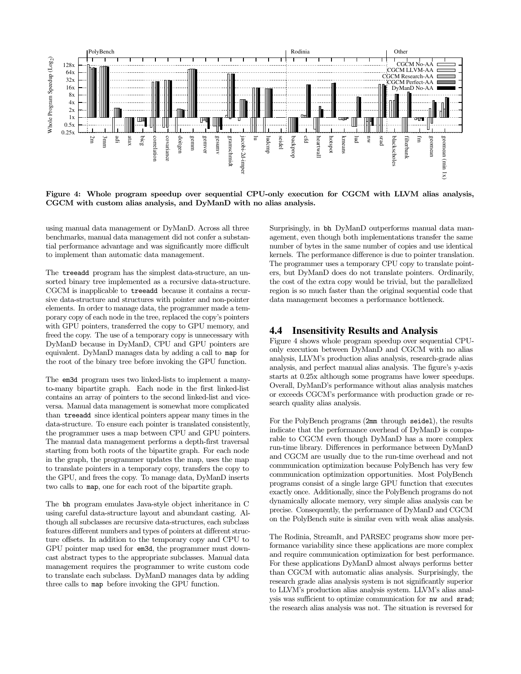

Figure 4: Whole program speedup over sequential CPU-only execution for CGCM with LLVM alias analysis, CGCM with custom alias analysis, and DyManD with no alias analysis.

using manual data management or DyManD. Across all three benchmarks, manual data management did not confer a substantial performance advantage and was significantly more difficult to implement than automatic data management.

The treeadd program has the simplest data-structure, an unsorted binary tree implemented as a recursive data-structure. CGCM is inapplicable to treeadd because it contains a recursive data-structure and structures with pointer and non-pointer elements. In order to manage data, the programmer made a temporary copy of each node in the tree, replaced the copy's pointers with GPU pointers, transferred the copy to GPU memory, and freed the copy. The use of a temporary copy is unnecessary with DyManD because in DyManD, CPU and GPU pointers are equivalent. DyManD manages data by adding a call to map for the root of the binary tree before invoking the GPU function.

The em3d program uses two linked-lists to implement a manyto-many bipartite graph. Each node in the first linked-list contains an array of pointers to the second linked-list and viceversa. Manual data management is somewhat more complicated than treeadd since identical pointers appear many times in the data-structure. To ensure each pointer is translated consistently, the programmer uses a map between CPU and GPU pointers. The manual data management performs a depth-first traversal starting from both roots of the bipartite graph. For each node in the graph, the programmer updates the map, uses the map to translate pointers in a temporary copy, transfers the copy to the GPU, and frees the copy. To manage data, DyManD inserts two calls to map, one for each root of the bipartite graph.

The bh program emulates Java-style object inheritance in C using careful data-structure layout and abundant casting. Although all subclasses are recursive data-structures, each subclass features different numbers and types of pointers at different structure offsets. In addition to the temporary copy and CPU to GPU pointer map used for em3d, the programmer must downcast abstract types to the appropriate subclasses. Manual data management requires the programmer to write custom code to translate each subclass. DyManD manages data by adding three calls to map before invoking the GPU function.

Surprisingly, in bh DyManD outperforms manual data management, even though both implementations transfer the same number of bytes in the same number of copies and use identical kernels. The performance difference is due to pointer translation. The programmer uses a temporary CPU copy to translate pointers, but DyManD does do not translate pointers. Ordinarily, the cost of the extra copy would be trivial, but the parallelized region is so much faster than the original sequential code that data management becomes a performance bottleneck.

## 4.4 Insensitivity Results and Analysis

Figure 4 shows whole program speedup over sequential CPUonly execution between DyManD and CGCM with no alias analysis, LLVM's production alias analysis, research-grade alias analysis, and perfect manual alias analysis. The figure's y-axis starts at 0.25x although some programs have lower speedups. Overall, DyManD's performance without alias analysis matches or exceeds CGCM's performance with production grade or research quality alias analysis.

For the PolyBench programs (2mm through seidel), the results indicate that the performance overhead of DyManD is comparable to CGCM even though DyManD has a more complex run-time library. Differences in performance between DyManD and CGCM are usually due to the run-time overhead and not communication optimization because PolyBench has very few communication optimization opportunities. Most PolyBench programs consist of a single large GPU function that executes exactly once. Additionally, since the PolyBench programs do not dynamically allocate memory, very simple alias analysis can be precise. Consequently, the performance of DyManD and CGCM on the PolyBench suite is similar even with weak alias analysis.

The Rodinia, StreamIt, and PARSEC programs show more performance variability since these applications are more complex and require communication optimization for best performance. For these applications DyManD almost always performs better than CGCM with automatic alias analysis. Surprisingly, the research grade alias analysis system is not significantly superior to LLVM's production alias analysis system. LLVM's alias analysis was sufficient to optimize communication for nw and srad; the research alias analysis was not. The situation is reversed for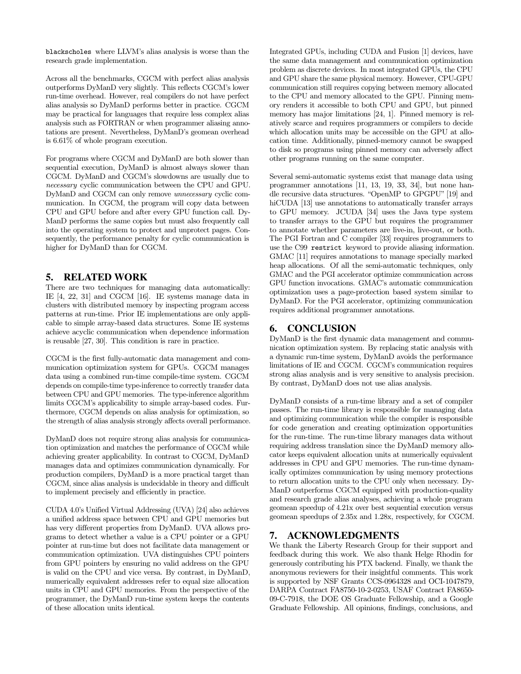blackscholes where LLVM's alias analysis is worse than the research grade implementation.

Across all the benchmarks, CGCM with perfect alias analysis outperforms DyManD very slightly. This reflects CGCM's lower run-time overhead. However, real compilers do not have perfect alias analysis so DyManD performs better in practice. CGCM may be practical for languages that require less complex alias analysis such as FORTRAN or when programmer aliasing annotations are present. Nevertheless, DyManD's geomean overhead is 6.61% of whole program execution.

For programs where CGCM and DyManD are both slower than sequential execution, DyManD is almost always slower than CGCM. DyManD and CGCM's slowdowns are usually due to necessary cyclic communication between the CPU and GPU. DyManD and CGCM can only remove unnecessary cyclic communication. In CGCM, the program will copy data between CPU and GPU before and after every GPU function call. Dy-ManD performs the same copies but must also frequently call into the operating system to protect and unprotect pages. Consequently, the performance penalty for cyclic communication is higher for DyManD than for CGCM.

#### 5. RELATED WORK

There are two techniques for managing data automatically: IE [4, 22, 31] and CGCM [16]. IE systems manage data in clusters with distributed memory by inspecting program access patterns at run-time. Prior IE implementations are only applicable to simple array-based data structures. Some IE systems achieve acyclic communication when dependence information is reusable [27, 30]. This condition is rare in practice.

CGCM is the first fully-automatic data management and communication optimization system for GPUs. CGCM manages data using a combined run-time compile-time system. CGCM depends on compile-time type-inference to correctly transfer data between CPU and GPU memories. The type-inference algorithm limits CGCM's applicability to simple array-based codes. Furthermore, CGCM depends on alias analysis for optimization, so the strength of alias analysis strongly affects overall performance.

DyManD does not require strong alias analysis for communication optimization and matches the performance of CGCM while achieving greater applicability. In contrast to CGCM, DyManD manages data and optimizes communication dynamically. For production compilers, DyManD is a more practical target than CGCM, since alias analysis is undecidable in theory and difficult to implement precisely and efficiently in practice.

CUDA 4.0's Unified Virtual Addressing (UVA) [24] also achieves a unified address space between CPU and GPU memories but has very different properties from DyManD. UVA allows programs to detect whether a value is a CPU pointer or a GPU pointer at run-time but does not facilitate data management or communication optimization. UVA distinguishes CPU pointers from GPU pointers by ensuring no valid address on the GPU is valid on the CPU and vice versa. By contrast, in DyManD, numerically equivalent addresses refer to equal size allocation units in CPU and GPU memories. From the perspective of the programmer, the DyManD run-time system keeps the contents of these allocation units identical.

Integrated GPUs, including CUDA and Fusion [1] devices, have the same data management and communication optimization problem as discrete devices. In most integrated GPUs, the CPU and GPU share the same physical memory. However, CPU-GPU communication still requires copying between memory allocated to the CPU and memory allocated to the GPU. Pinning memory renders it accessible to both CPU and GPU, but pinned memory has major limitations [24, 1]. Pinned memory is relatively scarce and requires programmers or compilers to decide which allocation units may be accessible on the GPU at allocation time. Additionally, pinned-memory cannot be swapped to disk so programs using pinned memory can adversely affect other programs running on the same computer.

Several semi-automatic systems exist that manage data using programmer annotations [11, 13, 19, 33, 34], but none handle recursive data structures. "OpenMP to GPGPU" [19] and hiCUDA [13] use annotations to automatically transfer arrays to GPU memory. JCUDA [34] uses the Java type system to transfer arrays to the GPU but requires the programmer to annotate whether parameters are live-in, live-out, or both. The PGI Fortran and C compiler [33] requires programmers to use the C99 restrict keyword to provide aliasing information. GMAC [11] requires annotations to manage specially marked heap allocations. Of all the semi-automatic techniques, only GMAC and the PGI accelerator optimize communication across GPU function invocations. GMAC's automatic communication optimization uses a page-protection based system similar to DyManD. For the PGI accelerator, optimizing communication requires additional programmer annotations.

## 6. CONCLUSION

DyManD is the first dynamic data management and communication optimization system. By replacing static analysis with a dynamic run-time system, DyManD avoids the performance limitations of IE and CGCM. CGCM's communication requires strong alias analysis and is very sensitive to analysis precision. By contrast, DyManD does not use alias analysis.

DyManD consists of a run-time library and a set of compiler passes. The run-time library is responsible for managing data and optimizing communication while the compiler is responsible for code generation and creating optimization opportunities for the run-time. The run-time library manages data without requiring address translation since the DyManD memory allocator keeps equivalent allocation units at numerically equivalent addresses in CPU and GPU memories. The run-time dynamically optimizes communication by using memory protections to return allocation units to the CPU only when necessary. Dy-ManD outperforms CGCM equipped with production-quality and research grade alias analyses, achieving a whole program geomean speedup of 4.21x over best sequential execution versus geomean speedups of 2.35x and 1.28x, respectively, for CGCM.

#### 7. ACKNOWLEDGMENTS

We thank the Liberty Research Group for their support and feedback during this work. We also thank Helge Rhodin for generously contributing his PTX backend. Finally, we thank the anonymous reviewers for their insightful comments. This work is supported by NSF Grants CCS-0964328 and OCI-1047879, DARPA Contract FA8750-10-2-0253, USAF Contract FA8650- 09-C-7918, the DOE OS Graduate Fellowship, and a Google Graduate Fellowship. All opinions, findings, conclusions, and